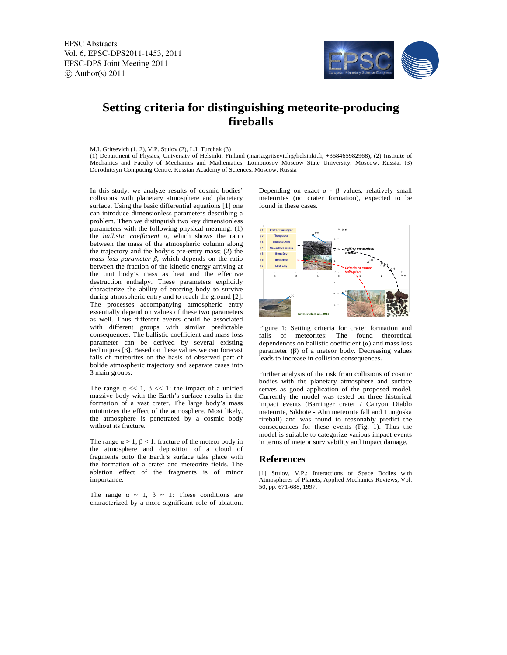EPSC Abstracts Vol. 6, EPSC-DPS2011-1453, 2011 EPSC-DPS Joint Meeting 2011  $\circ$  Author(s) 2011



## **Setting criteria for distinguishing meteorite-producing fireballs**

## M.I. Gritsevich (1, 2), V.P. Stulov (2), L.I. Turchak (3)

(1) Department of Physics, University of Helsinki, Finland (maria.gritsevich@helsinki.fi, +358465982968), (2) Institute of Mechanics and Faculty of Mechanics and Mathematics, Lomonosov Moscow State University, Moscow, Russia, (3) Dorodnitsyn Computing Centre, Russian Academy of Sciences, Moscow, Russia

In this study, we analyze results of cosmic bodies' collisions with planetary atmosphere and planetary surface. Using the basic differential equations [1] one can introduce dimensionless parameters describing a problem. Then we distinguish two key dimensionless parameters with the following physical meaning: (1) the *ballistic coefficient α*, which shows the ratio between the mass of the atmospheric column along the trajectory and the body's pre-entry mass; (2) the *mass loss parameter*  $\beta$ *, which depends on the ratio* between the fraction of the kinetic energy arriving at the unit body's mass as heat and the effective destruction enthalpy. These parameters explicitly characterize the ability of entering body to survive during atmospheric entry and to reach the ground [2]. The processes accompanying atmospheric entry essentially depend on values of these two parameters as well. Thus different events could be associated with different groups with similar predictable consequences. The ballistic coefficient and mass loss parameter can be derived by several existing techniques [3]. Based on these values we can forecast falls of meteorites on the basis of observed part of bolide atmospheric trajectory and separate cases into 3 main groups:

The range  $\alpha \ll 1$ ,  $\beta \ll 1$ : the impact of a unified massive body with the Earth's surface results in the formation of a vast crater. The large body's mass minimizes the effect of the atmosphere. Most likely, the atmosphere is penetrated by a cosmic body without its fracture.

The range  $\alpha > 1$ ,  $\beta < 1$ : fracture of the meteor body in the atmosphere and deposition of a cloud of fragments onto the Earth's surface take place with the formation of a crater and meteorite fields. The ablation effect of the fragments is of minor importance.

The range  $\alpha \sim 1$ ,  $\beta \sim 1$ : These conditions are characterized by a more significant role of ablation. Depending on exact  $\alpha$  -  $\beta$  values, relatively small meteorites (no crater formation), expected to be found in these cases.



Figure 1: Setting criteria for crater formation and falls of meteorites: The found theoretical dependences on ballistic coefficient  $(\alpha)$  and mass loss parameter (β) of a meteor body. Decreasing values leads to increase in collision consequences.

Further analysis of the risk from collisions of cosmic bodies with the planetary atmosphere and surface serves as good application of the proposed model. Currently the model was tested on three historical impact events (Barringer crater / Canyon Diablo meteorite, Sikhote - Alin meteorite fall and Tunguska fireball) and was found to reasonably predict the consequences for these events (Fig. 1). Thus the model is suitable to categorize various impact events in terms of meteor survivability and impact damage.

## **References**

[1] Stulov, V.P.: Interactions of Space Bodies with Atmospheres of Planets, Applied Mechanics Reviews, Vol. 50, pp. 671-688, 1997.